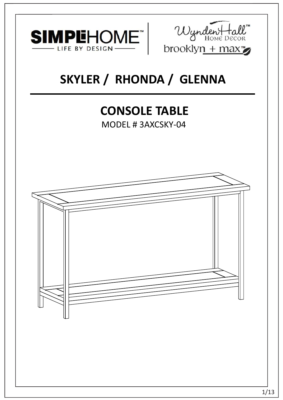



# **SKYLER / RHONDA / GLENNA**

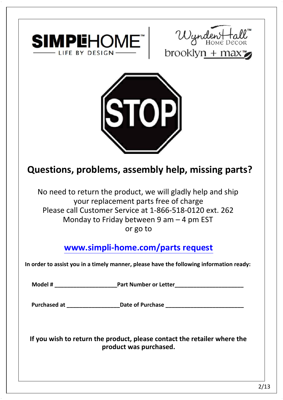





**Questions, problems, assembly help, missing parts? iestions, problems, assembly help, missing paintify**<br>No need to return the product, we will gladly help and ship

proplems, assemply neip, mis<br>o return the product, we will gladly hel<br>your replacement parts free of charge o need to return the product, we will gladly help and shi<br>your replacement parts free of charge<br>Please call Customer Service at 1-866-518-0120 ext. 262 d to return the product, we will gladly help a<br>your replacement parts free of charge<br>call Customer Service at 1-866-518-0120 ex<br>Monday to Friday between 9 am – 4 pm EST ence,<br>ent parts<br>vice at 1<br>betweer<br>or go to

or go to<br>**www.simpli-home.com/parts request** 

**In order to assist you in a timely manner, please have the following information ready: Model # \_\_\_\_\_\_\_\_\_\_\_\_\_\_\_\_\_\_\_\_Part Number or Letter\_\_\_\_\_\_\_\_\_\_\_\_\_\_\_\_\_\_\_\_\_\_**

Model # \_\_\_\_\_\_\_\_\_\_\_\_\_\_\_\_\_\_\_\_\_\_\_\_\_\_\_\_\_Part Number or Letter\_\_\_\_\_\_\_\_\_\_\_\_\_\_\_\_\_\_\_\_\_\_\_<br>Purchased at \_\_\_\_\_\_\_\_\_\_\_\_\_\_\_\_\_\_\_\_\_\_\_Date of Purchase \_\_\_\_\_\_\_\_\_\_\_\_\_\_\_\_\_\_\_\_\_\_\_\_\_\_\_

**If you wish to return the product, please contact the retailer where the product was purchased.**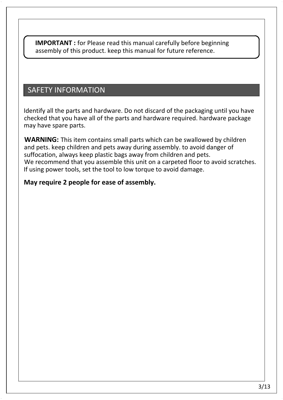**IMPORTANT :** for Please read this manual carefully before beginning **IMPORTANT** : for Please read this manual carefully before begir<br>assembly of this product. keep this manual for future reference. assembly of this product. keep this manual for future reference.<br>SAFETY INFORMATION

SAFETY INFORMATION<br>Identify all the parts and hardware. Do not discard of the packaging until you have CALETT THE CHWATHON<br>Identify all the parts and hardware. Do not discard of the packaging until you have<br>checked that you have all of the parts and hardware required. hardware package mathing an the parts and hardware. Bo not diseard of the packaging after you have checked that you have all of the parts and hardware required. hardware packaging which can be swallowed by children **WARNING:** This item con

**WARNING:** This item contains small parts which can be swallowed by children and pets. keep children and pets away during assembly. to avoid danger of suffocation, always keep plastic bags away from children and pets. We recommend that you assemble this unit on a carpeted floor to avoid scratches. If using power tools, set the tool to low torque to avoid damage.

### **May require 2 people for ease of assembly.**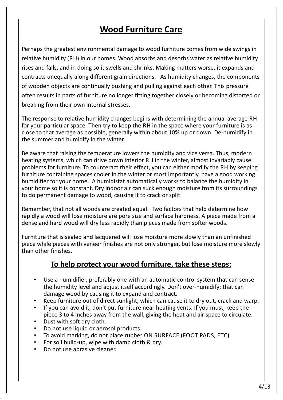# **Wood Furniture Care**

Perhaps the greatest environmental damage to wood furniture comes from wide swings in relative humidity (RH) in our homes. Wood absorbs and desorbs water as relative humidity rises and falls, and in doing so it swells and shrinks. Making matters worse, it expands and contracts unequally along different grain directions. As humidity changes, the components of wooden objects are continually pushing and pulling against each other. This pressure often results in parts of furniture no longer fitting together closely or becoming distorted or breaking from their own internal stresses.

The response to relative humidity changes begins with determining the annual average RH for your particular space. Then try to keep the RH in the space where your furniture is as close to that average as possible, generally within about 10% up or down. De-humidify in the summer and humidify in the winter.

Be aware that raising the temperature lowers the humidity and vice versa. Thus, modern heating systems, which can drive down interior RH in the winter, almost invariably cause problems for furniture. To counteract their effect, you can either modify the RH by keeping furniture containing spaces cooler in the winter or most importantly, have a good working humidifier for your home. A humidistat automatically works to balance the humidity in your home so it is constant. Dry indoor air can suck enough moisture from its surroundings to do permanent damage to wood, causing it to crack or split.

Remember, that not all woods are created equal. Two factors that help determine how rapidly a wood will lose moisture are pore size and surface hardness. A piece made from a dense and hard wood will dry less rapidly than pieces made from softer woods.

Furniture that is sealed and lacquered will lose moisture more slowly than an unfinished piece while pieces with veneer finishes are not only stronger, but lose moisture more slowly than other finishes.

### **To help protect your wood furniture, take these steps:**

- Use a humidifier, preferably one with an automatic control system that can sense the humidity level and adjust itself accordingly. Don't over-humidify; that can damage wood by causing it to expand and contract.
- Keep furniture out of direct sunlight, which can cause it to dry out, crack and warp.
- If you can avoid it, don't put furniture near heating vents. If you must, keep the piece 3 to 4 inches away from the wall, giving the heat and air space to circulate.
- Dust with soft dry cloth.
- Do not use liquid or aerosol products.
- To avoid marking, do not place rubber ON SURFACE (FOOT PADS, ETC)
- For soil build-up, wipe with damp cloth & dry.
- Do not use abrasive cleaner.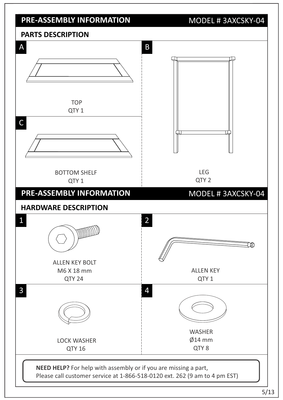### **PRE-ASSEMBLY INFORMATION** MODEL # 3AXCSKY-04

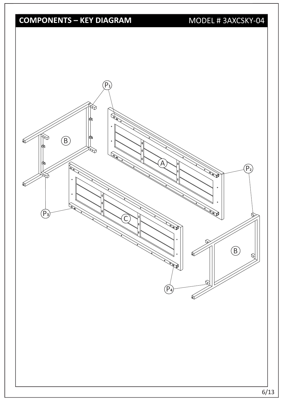# **COMPONENTS – KEY DIAGRAM** MODEL # 3AXCSKY-04

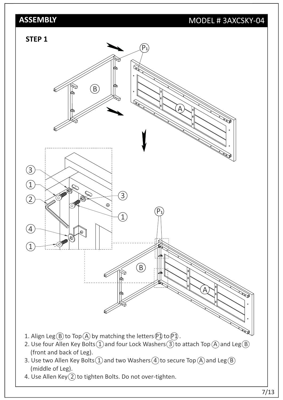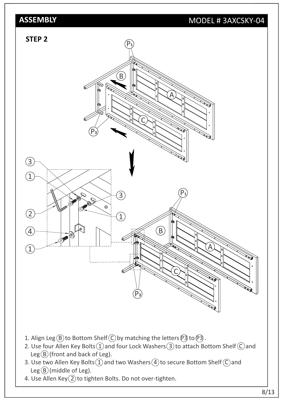

- 1. Align Leg  $(B)$  to Bottom Shelf  $\widehat{C}$  by matching the letters  $\widehat{P}$  to  $\widehat{P}$  .
- 2. Use four Allen Key Bolts  $(1)$  and four Lock Washers  $(3)$  to attach Bottom Shelf  $(C)$  and  $Leg(B)$  (front and back of Leg).
- 3. Use two Allen Key Bolts  $(1)$  and two Washers  $(4)$  to secure Bottom Shelf  $(C)$  and Leg $(B)$ (middle of Leg).
- 4. Use Allen Key $(2)$  to tighten Bolts. Do not over-tighten.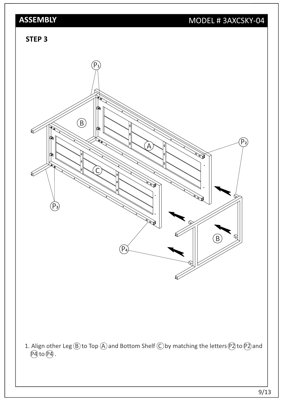### **STEP 3**

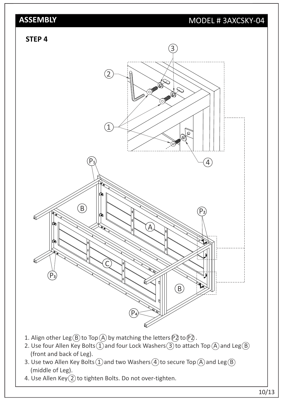### **STEP 4**



- 2. Use four Allen Key Bolts  $\widetilde{(1)}$  and four Lock Washers  $\widetilde{(3)}$  to attach Top  $\widetilde{(A)}$  and Leg  $\widetilde{(B)}$ (front and back of Leg).
- 3. Use two Allen Key Bolts  $(1)$  and two Washers  $(4)$  to secure Top  $(A)$  and Leg  $(B)$ (middle of Leg).
- 4. Use Allen Key $(2)$  to tighten Bolts. Do not over-tighten.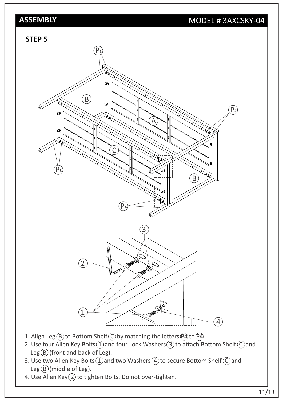### **STEP 5**



- 3. Use two Allen Key Bolts  $(1)$  and two Washers  $(4)$  to secure Bottom Shelf  $(C)$  and Leg $(\widehat{B})$ (middle of Leg).
- 4. Use Allen Key $(2)$  to tighten Bolts. Do not over-tighten.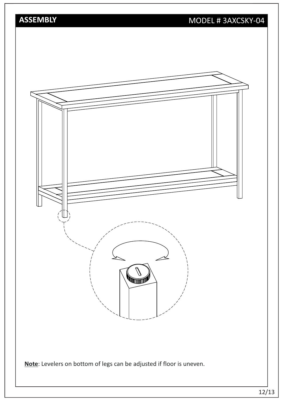